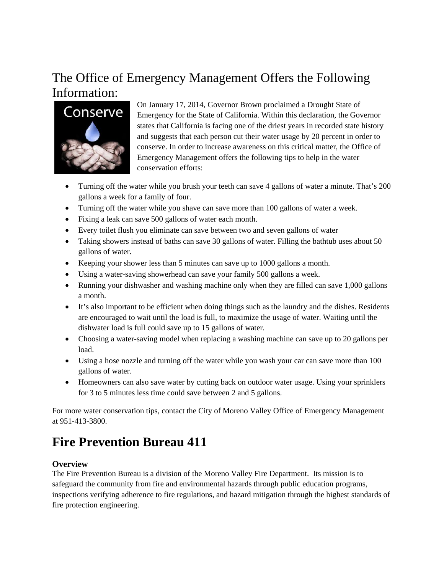## The Office of Emergency Management Offers the Following Information:



On January 17, 2014, Governor Brown proclaimed a Drought State of Emergency for the State of California. Within this declaration, the Governor states that California is facing one of the driest years in recorded state history and suggests that each person cut their water usage by 20 percent in order to conserve. In order to increase awareness on this critical matter, the Office of Emergency Management offers the following tips to help in the water conservation efforts:

- Turning off the water while you brush your teeth can save 4 gallons of water a minute. That's 200 gallons a week for a family of four.
- Turning off the water while you shave can save more than 100 gallons of water a week.
- Fixing a leak can save 500 gallons of water each month.
- Every toilet flush you eliminate can save between two and seven gallons of water
- Taking showers instead of baths can save 30 gallons of water. Filling the bathtub uses about 50 gallons of water.
- Keeping your shower less than 5 minutes can save up to 1000 gallons a month.
- Using a water-saving showerhead can save your family 500 gallons a week.
- Running your dishwasher and washing machine only when they are filled can save 1,000 gallons a month.
- It's also important to be efficient when doing things such as the laundry and the dishes. Residents are encouraged to wait until the load is full, to maximize the usage of water. Waiting until the dishwater load is full could save up to 15 gallons of water.
- Choosing a water-saving model when replacing a washing machine can save up to 20 gallons per load.
- Using a hose nozzle and turning off the water while you wash your car can save more than 100 gallons of water.
- Homeowners can also save water by cutting back on outdoor water usage. Using your sprinklers for 3 to 5 minutes less time could save between 2 and 5 gallons.

For more water conservation tips, contact the City of Moreno Valley Office of Emergency Management at 951-413-3800.

# **Fire Prevention Bureau 411**

### **Overview**

The Fire Prevention Bureau is a division of the Moreno Valley Fire Department. Its mission is to safeguard the community from fire and environmental hazards through public education programs, inspections verifying adherence to fire regulations, and hazard mitigation through the highest standards of fire protection engineering.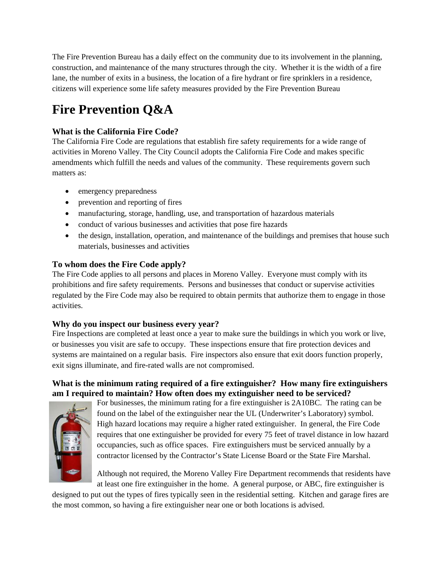The Fire Prevention Bureau has a daily effect on the community due to its involvement in the planning, construction, and maintenance of the many structures through the city. Whether it is the width of a fire lane, the number of exits in a business, the location of a fire hydrant or fire sprinklers in a residence, citizens will experience some life safety measures provided by the Fire Prevention Bureau

# **Fire Prevention Q&A**

## **What is the California Fire Code?**

The California Fire Code are regulations that establish fire safety requirements for a wide range of activities in Moreno Valley. The City Council adopts the California Fire Code and makes specific amendments which fulfill the needs and values of the community. These requirements govern such matters as:

- emergency preparedness
- prevention and reporting of fires
- manufacturing, storage, handling, use, and transportation of hazardous materials
- conduct of various businesses and activities that pose fire hazards
- the design, installation, operation, and maintenance of the buildings and premises that house such materials, businesses and activities

## **To whom does the Fire Code apply?**

The Fire Code applies to all persons and places in Moreno Valley. Everyone must comply with its prohibitions and fire safety requirements. Persons and businesses that conduct or supervise activities regulated by the Fire Code may also be required to obtain permits that authorize them to engage in those activities.

### **Why do you inspect our business every year?**

Fire Inspections are completed at least once a year to make sure the buildings in which you work or live, or businesses you visit are safe to occupy. These inspections ensure that fire protection devices and systems are maintained on a regular basis. Fire inspectors also ensure that exit doors function properly, exit signs illuminate, and fire-rated walls are not compromised.

### **What is the minimum rating required of a fire extinguisher? How many fire extinguishers am I required to maintain? How often does my extinguisher need to be serviced?**



For businesses, the minimum rating for a fire extinguisher is 2A10BC. The rating can be found on the label of the extinguisher near the UL (Underwriter's Laboratory) symbol. High hazard locations may require a higher rated extinguisher. In general, the Fire Code requires that one extinguisher be provided for every 75 feet of travel distance in low hazard occupancies, such as office spaces. Fire extinguishers must be serviced annually by a contractor licensed by the Contractor's State License Board or the State Fire Marshal.

Although not required, the Moreno Valley Fire Department recommends that residents have at least one fire extinguisher in the home. A general purpose, or ABC, fire extinguisher is

designed to put out the types of fires typically seen in the residential setting. Kitchen and garage fires are the most common, so having a fire extinguisher near one or both locations is advised.